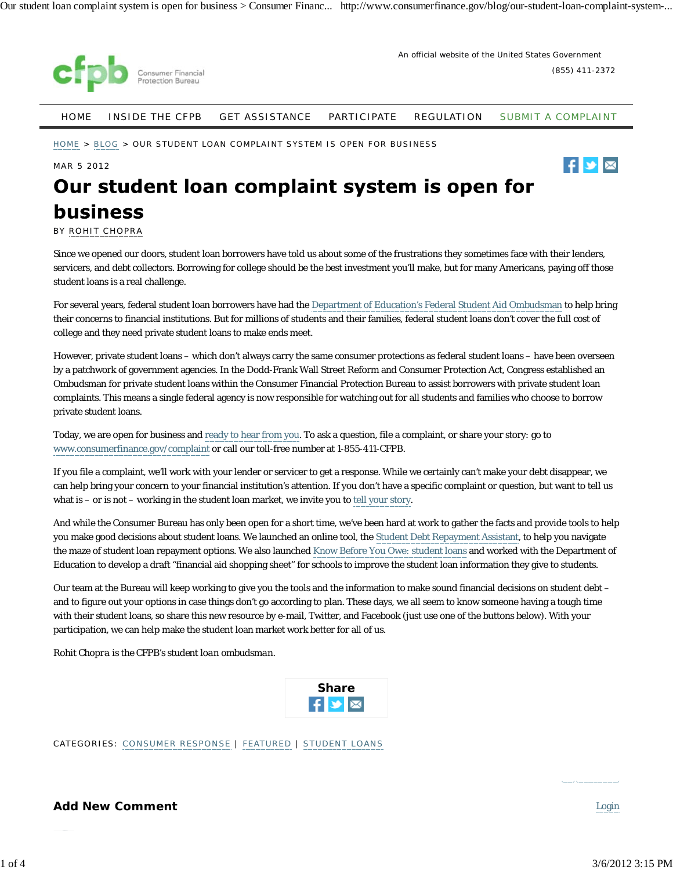

(855) 411-2372

 $\mathbf{F}$   $\mathbf{v}$   $\mathbf{w}$ 

HOME INSIDE THE CFPB GET ASSISTANCE PARTICIPATE REGULATION SUBMIT A COMPLAINT

HOME > BLOG > OUR STUDENT LOAN COMPLAINT SYSTEM IS OPEN FOR BUSINESS

MAR 5 2012

# Our student loan complaint system is open for **business**

BY ROHIT CHOPRA

Since we opened our doors, student loan borrowers have told us about some of the frustrations they sometimes face with their lenders, servicers, and debt collectors. Borrowing for college should be the best investment you'll make, but for many Americans, paying off those student loans is a real challenge.

For several years, federal student loan borrowers have had the Department of Education's Federal Student Aid Ombudsman to help bring their concerns to financial institutions. But for millions of students and their families, federal student loans don't cover the full cost of college and they need private student loans to make ends meet.

However, private student loans – which don't always carry the same consumer protections as federal student loans – have been overseen by a patchwork of government agencies. In the Dodd-Frank Wall Street Reform and Consumer Protection Act, Congress established an Ombudsman for private student loans within the Consumer Financial Protection Bureau to assist borrowers with private student loan complaints. This means a single federal agency is now responsible for watching out for all students and families who choose to borrow private student loans.

Today, we are open for business and ready to hear from you. To ask a question, file a complaint, or share your story: go to www.consumerfinance.gov/complaint or call our toll-free number at 1-855-411-CFPB.

If you file a complaint, we'll work with your lender or servicer to get a response. While we certainly can't make your debt disappear, we can help bring your concern to your financial institution's attention. If you don't have a specific complaint or question, but want to tell us what is – or is not – working in the student loan market, we invite you to tell your story.

And while the Consumer Bureau has only been open for a short time, we've been hard at work to gather the facts and provide tools to help you make good decisions about student loans. We launched an online tool, the Student Debt Repayment Assistant, to help you navigate the maze of student loan repayment options. We also launched Know Before You Owe: student loans and worked with the Department of Education to develop a draft "financial aid shopping sheet" for schools to improve the student loan information they give to students.

Our team at the Bureau will keep working to give you the tools and the information to make sound financial decisions on student debt – and to figure out your options in case things don't go according to plan. These days, we all seem to know someone having a tough time with their student loans, so share this new resource by e-mail, Twitter, and Facebook (just use one of the buttons below). With your participation, we can help make the student loan market work better for all of us.

*Rohit Chopra is the CFPB's student loan ombudsman.*



CATEGORIES: CONSUMER RESPONSE | FEATURED | STUDENT LOANS

**Add New Comment** Login **Login** Login **Login**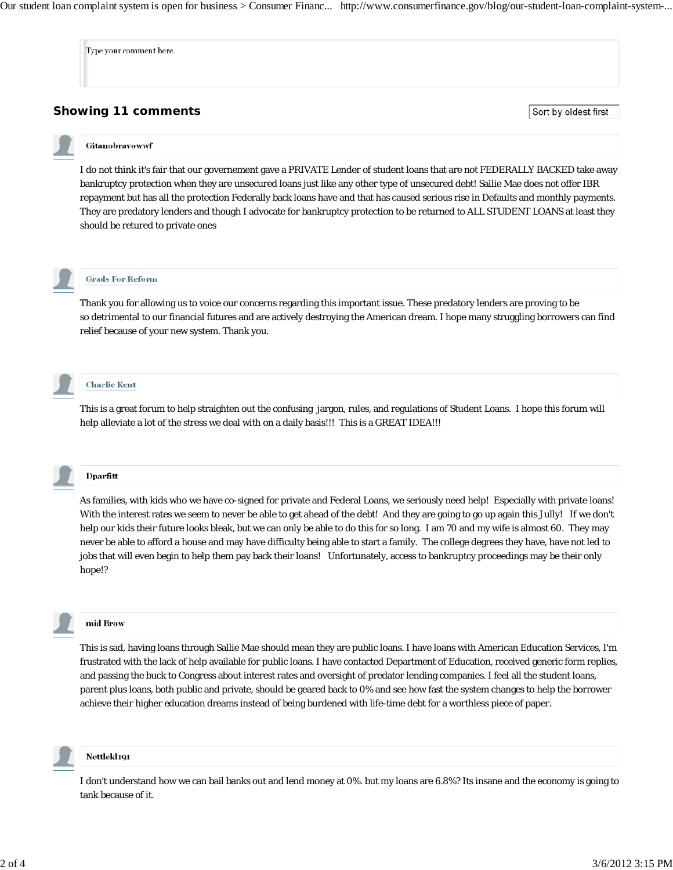Our student loan complaint system is open for business > Consumer Financ... http://www.consumerfinance.gov/blog/our-student-loan-complaint-system-...

Type your comment here.

# **Showing 11 comments**

Sort by oldest first

# Gitanobravowwf

I do not think it's fair that our governement gave a PRIVATE Lender of student loans that are not FEDERALLY BACKED take away bankruptcy protection when they are unsecured loans just like any other type of unsecured debt! Sallie Mae does not offer IBR repayment but has all the protection Federally back loans have and that has caused serious rise in Defaults and monthly payments. They are predatory lenders and though I advocate for bankruptcy protection to be returned to ALL STUDENT LOANS at least they should be retured to private ones



### **Grads For Reform**

Thank you for allowing us to voice our concerns regarding this important issue. These predatory lenders are proving to be so detrimental to our financial futures and are actively destroying the American dream. I hope many struggling borrowers can find relief because of your new system. Thank you.



# **Charlie Kent**

This is a great forum to help straighten out the confusing jargon, rules, and regulations of Student Loans. I hope this forum will help alleviate a lot of the stress we deal with on a daily basis!!! This is a GREAT IDEA!!!

Dparfitt

As families, with kids who we have co-signed for private and Federal Loans, we seriously need help! Especially with private loans! With the interest rates we seem to never be able to get ahead of the debt! And they are going to go up again this Jully! If we don't help our kids their future looks bleak, but we can only be able to do this for so long. I am 70 and my wife is almost 60. They may never be able to afford a house and may have difficulty being able to start a family. The college degrees they have, have not led to jobs that will even begin to help them pay back their loans! Unfortunately, access to bankruptcy proceedings may be their only hope!?



#### mid Brow

This is sad, having loans through Sallie Mae should mean they are public loans. I have loans with American Education Services, I'm frustrated with the lack of help available for public loans. I have contacted Department of Education, received generic form replies, and passing the buck to Congress about interest rates and oversight of predator lending companies. I feel all the student loans, parent plus loans, both public and private, should be geared back to 0% and see how fast the system changes to help the borrower achieve their higher education dreams instead of being burdened with life-time debt for a worthless piece of paper.



## Nettlekl191

I don't understand how we can bail banks out and lend money at 0%. but my loans are 6.8%? Its insane and the economy is going to tank because of it.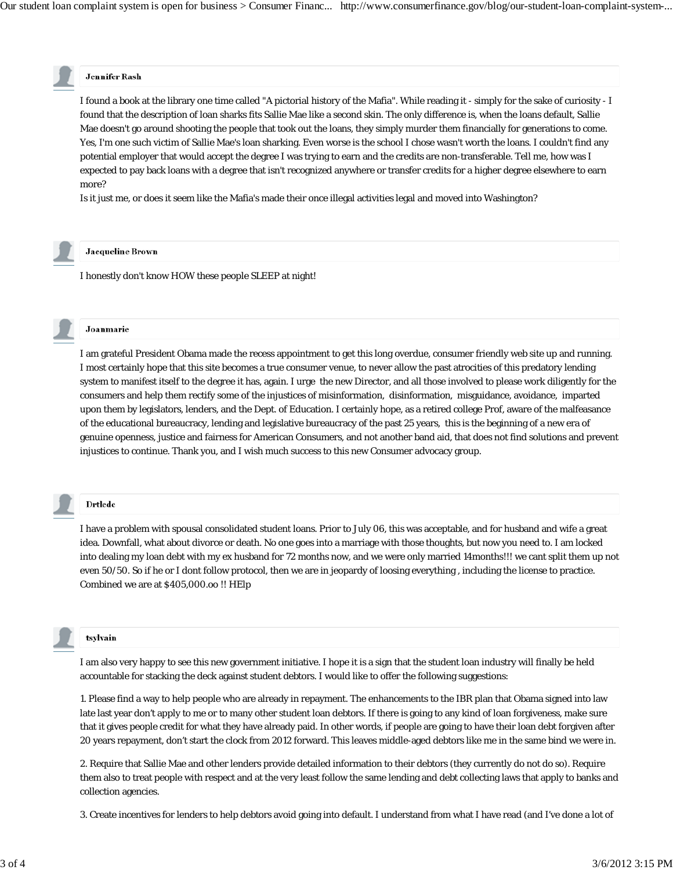# **Jennifer Rash**

I found a book at the library one time called "A pictorial history of the Mafia". While reading it - simply for the sake of curiosity - I found that the description of loan sharks fits Sallie Mae like a second skin. The only difference is, when the loans default, Sallie Mae doesn't go around shooting the people that took out the loans, they simply murder them financially for generations to come. Yes, I'm one such victim of Sallie Mae's loan sharking. Even worse is the school I chose wasn't worth the loans. I couldn't find any potential employer that would accept the degree I was trying to earn and the credits are non-transferable. Tell me, how was I expected to pay back loans with a degree that isn't recognized anywhere or transfer credits for a higher degree elsewhere to earn more?

Is it just me, or does it seem like the Mafia's made their once illegal activities legal and moved into Washington?



# **Jacqueline Brown**

I honestly don't know HOW these people SLEEP at night!



I am grateful President Obama made the recess appointment to get this long overdue, consumer friendly web site up and running. I most certainly hope that this site becomes a true consumer venue, to never allow the past atrocities of this predatory lending system to manifest itself to the degree it has, again. I urge the new Director, and all those involved to please work diligently for the consumers and help them rectify some of the injustices of misinformation, disinformation, misguidance, avoidance, imparted upon them by legislators, lenders, and the Dept. of Education. I certainly hope, as a retired college Prof, aware of the malfeasance of the educational bureaucracy, lending and legislative bureaucracy of the past 25 years, this is the beginning of a new era of genuine openness, justice and fairness for American Consumers, and not another band aid, that does not find solutions and prevent injustices to continue. Thank you, and I wish much success to this new Consumer advocacy group.

## Drtlede

I have a problem with spousal consolidated student loans. Prior to July 06, this was acceptable, and for husband and wife a great idea. Downfall, what about divorce or death. No one goes into a marriage with those thoughts, but now you need to. I am locked into dealing my loan debt with my ex husband for 72 months now, and we were only married 14months!!! we cant split them up not even 50/50. So if he or I dont follow protocol, then we are in jeopardy of loosing everything , including the license to practice. Combined we are at \$405,000.oo !! HElp



tsylvain

I am also very happy to see this new government initiative. I hope it is a sign that the student loan industry will finally be held accountable for stacking the deck against student debtors. I would like to offer the following suggestions:

1. Please find a way to help people who are already in repayment. The enhancements to the IBR plan that Obama signed into law late last year don't apply to me or to many other student loan debtors. If there is going to any kind of loan forgiveness, make sure that it gives people credit for what they have already paid. In other words, if people are going to have their loan debt forgiven after 20 years repayment, don't start the clock from 2012 forward. This leaves middle-aged debtors like me in the same bind we were in.

2. Require that Sallie Mae and other lenders provide detailed information to their debtors (they currently do not do so). Require them also to treat people with respect and at the very least follow the same lending and debt collecting laws that apply to banks and collection agencies.

3. Create incentives for lenders to help debtors avoid going into default. I understand from what I have read (and I've done a lot of